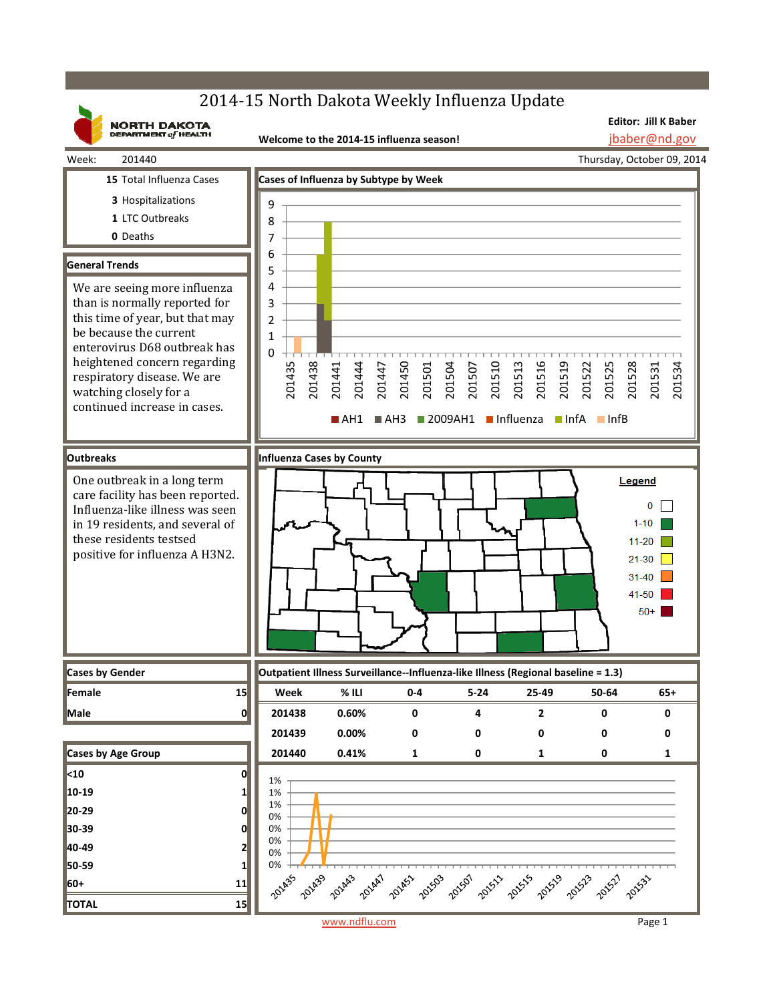